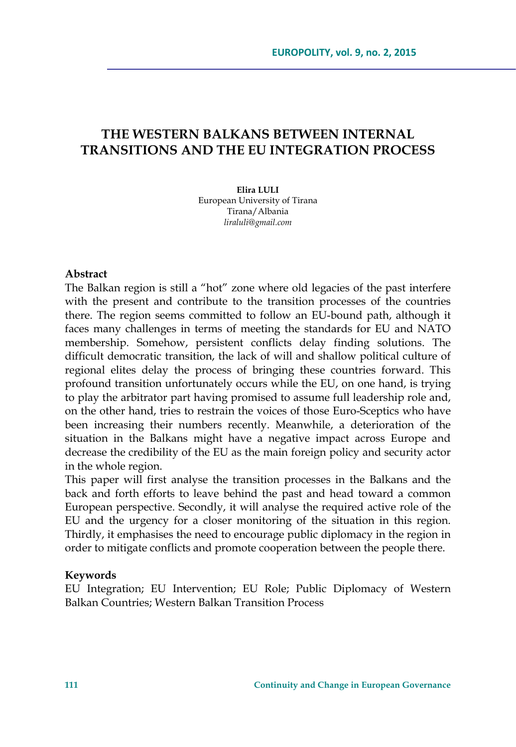# **THE WESTERN BALKANS BETWEEN INTERNAL TRANSITIONS AND THE EU INTEGRATION PROCESS**

## **Elira LULI**

European University of Tirana Tirana/Albania *liraluli@gmail.com* 

## **Abstract**

The Balkan region is still a "hot" zone where old legacies of the past interfere with the present and contribute to the transition processes of the countries there. The region seems committed to follow an EU-bound path, although it faces many challenges in terms of meeting the standards for EU and NATO membership. Somehow, persistent conflicts delay finding solutions. The difficult democratic transition, the lack of will and shallow political culture of regional elites delay the process of bringing these countries forward. This profound transition unfortunately occurs while the EU, on one hand, is trying to play the arbitrator part having promised to assume full leadership role and, on the other hand, tries to restrain the voices of those Euro-Sceptics who have been increasing their numbers recently. Meanwhile, a deterioration of the situation in the Balkans might have a negative impact across Europe and decrease the credibility of the EU as the main foreign policy and security actor in the whole region.

This paper will first analyse the transition processes in the Balkans and the back and forth efforts to leave behind the past and head toward a common European perspective. Secondly, it will analyse the required active role of the EU and the urgency for a closer monitoring of the situation in this region. Thirdly, it emphasises the need to encourage public diplomacy in the region in order to mitigate conflicts and promote cooperation between the people there.

### **Keywords**

EU Integration; EU Intervention; EU Role; Public Diplomacy of Western Balkan Countries; Western Balkan Transition Process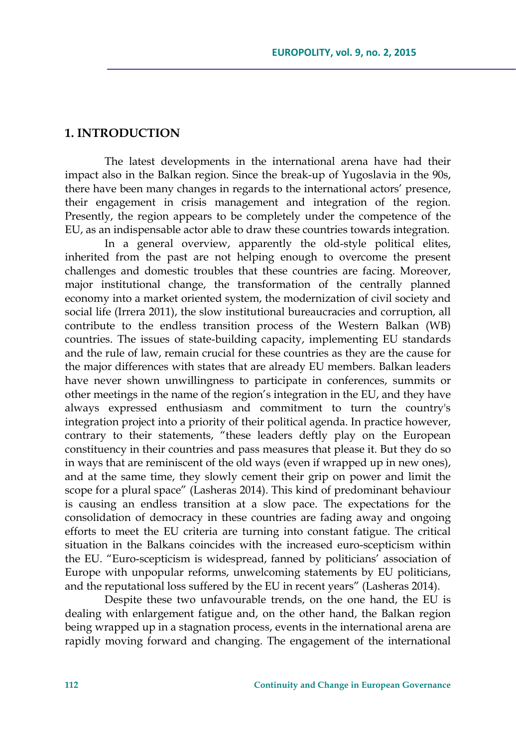## **1. INTRODUCTION**

The latest developments in the international arena have had their impact also in the Balkan region. Since the break-up of Yugoslavia in the 90s, there have been many changes in regards to the international actors' presence, their engagement in crisis management and integration of the region. Presently, the region appears to be completely under the competence of the EU, as an indispensable actor able to draw these countries towards integration.

In a general overview, apparently the old-style political elites, inherited from the past are not helping enough to overcome the present challenges and domestic troubles that these countries are facing. Moreover, major institutional change, the transformation of the centrally planned economy into a market oriented system, the modernization of civil society and social life (Irrera 2011), the slow institutional bureaucracies and corruption, all contribute to the endless transition process of the Western Balkan (WB) countries. The issues of state-building capacity, implementing EU standards and the rule of law, remain crucial for these countries as they are the cause for the major differences with states that are already EU members. Balkan leaders have never shown unwillingness to participate in conferences, summits or other meetings in the name of the region's integration in the EU, and they have always expressed enthusiasm and commitment to turn the country's integration project into a priority of their political agenda. In practice however, contrary to their statements, "these leaders deftly play on the European constituency in their countries and pass measures that please it. But they do so in ways that are reminiscent of the old ways (even if wrapped up in new ones), and at the same time, they slowly cement their grip on power and limit the scope for a plural space" (Lasheras 2014). This kind of predominant behaviour is causing an endless transition at a slow pace. The expectations for the consolidation of democracy in these countries are fading away and ongoing efforts to meet the EU criteria are turning into constant fatigue. The critical situation in the Balkans coincides with the increased euro-scepticism within the EU. "Euro-scepticism is widespread, fanned by politicians' association of Europe with unpopular reforms, unwelcoming statements by EU politicians, and the reputational loss suffered by the EU in recent years" (Lasheras 2014).

Despite these two unfavourable trends, on the one hand, the EU is dealing with enlargement fatigue and, on the other hand, the Balkan region being wrapped up in a stagnation process, events in the international arena are rapidly moving forward and changing. The engagement of the international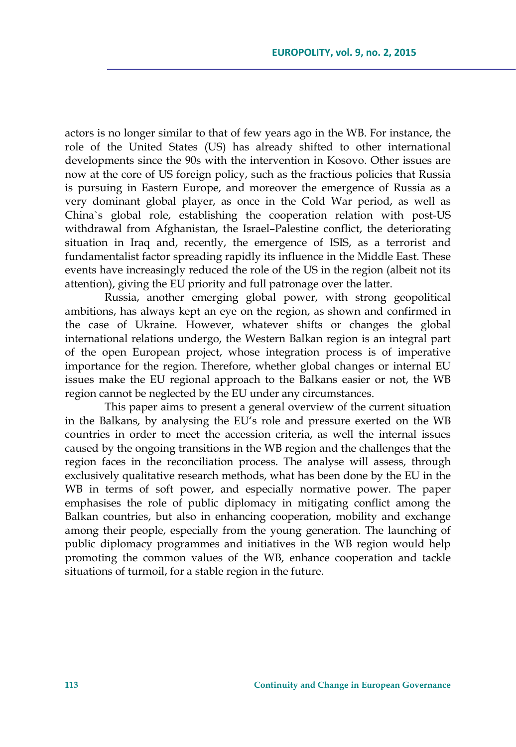actors is no longer similar to that of few years ago in the WB. For instance, the role of the United States (US) has already shifted to other international developments since the 90s with the intervention in Kosovo. Other issues are now at the core of US foreign policy, such as the fractious policies that Russia is pursuing in Eastern Europe, and moreover the emergence of Russia as a very dominant global player, as once in the Cold War period, as well as China`s global role, establishing the cooperation relation with post-US withdrawal from Afghanistan, the Israel–Palestine conflict, the deteriorating situation in Iraq and, recently, the emergence of ISIS, as a terrorist and fundamentalist factor spreading rapidly its influence in the Middle East. These events have increasingly reduced the role of the US in the region (albeit not its attention), giving the EU priority and full patronage over the latter.

Russia, another emerging global power, with strong geopolitical ambitions, has always kept an eye on the region, as shown and confirmed in the case of Ukraine. However, whatever shifts or changes the global international relations undergo, the Western Balkan region is an integral part of the open European project, whose integration process is of imperative importance for the region. Therefore, whether global changes or internal EU issues make the EU regional approach to the Balkans easier or not, the WB region cannot be neglected by the EU under any circumstances.

This paper aims to present a general overview of the current situation in the Balkans, by analysing the EU's role and pressure exerted on the WB countries in order to meet the accession criteria, as well the internal issues caused by the ongoing transitions in the WB region and the challenges that the region faces in the reconciliation process. The analyse will assess, through exclusively qualitative research methods, what has been done by the EU in the WB in terms of soft power, and especially normative power. The paper emphasises the role of public diplomacy in mitigating conflict among the Balkan countries, but also in enhancing cooperation, mobility and exchange among their people, especially from the young generation. The launching of public diplomacy programmes and initiatives in the WB region would help promoting the common values of the WB, enhance cooperation and tackle situations of turmoil, for a stable region in the future.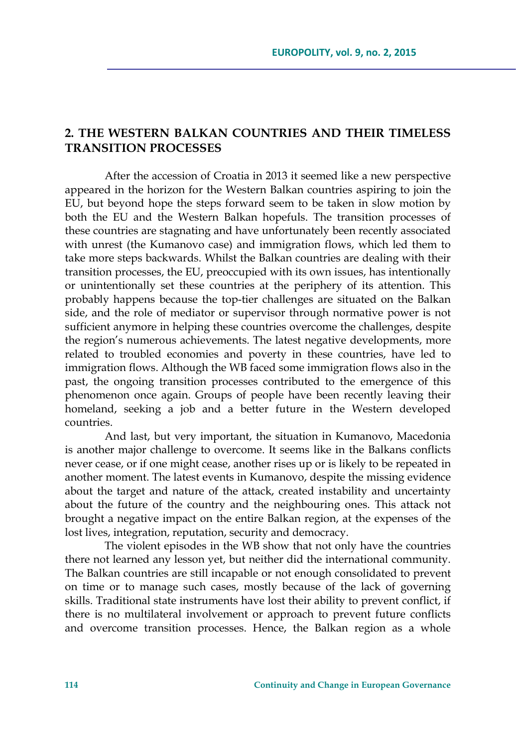## **2. THE WESTERN BALKAN COUNTRIES AND THEIR TIMELESS TRANSITION PROCESSES**

After the accession of Croatia in 2013 it seemed like a new perspective appeared in the horizon for the Western Balkan countries aspiring to join the EU, but beyond hope the steps forward seem to be taken in slow motion by both the EU and the Western Balkan hopefuls. The transition processes of these countries are stagnating and have unfortunately been recently associated with unrest (the Kumanovo case) and immigration flows, which led them to take more steps backwards. Whilst the Balkan countries are dealing with their transition processes, the EU, preoccupied with its own issues, has intentionally or unintentionally set these countries at the periphery of its attention. This probably happens because the top-tier challenges are situated on the Balkan side, and the role of mediator or supervisor through normative power is not sufficient anymore in helping these countries overcome the challenges, despite the region's numerous achievements. The latest negative developments, more related to troubled economies and poverty in these countries, have led to immigration flows. Although the WB faced some immigration flows also in the past, the ongoing transition processes contributed to the emergence of this phenomenon once again. Groups of people have been recently leaving their homeland, seeking a job and a better future in the Western developed countries.

And last, but very important, the situation in Kumanovo, Macedonia is another major challenge to overcome. It seems like in the Balkans conflicts never cease, or if one might cease, another rises up or is likely to be repeated in another moment. The latest events in Kumanovo, despite the missing evidence about the target and nature of the attack, created instability and uncertainty about the future of the country and the neighbouring ones. This attack not brought a negative impact on the entire Balkan region, at the expenses of the lost lives, integration, reputation, security and democracy.

The violent episodes in the WB show that not only have the countries there not learned any lesson yet, but neither did the international community. The Balkan countries are still incapable or not enough consolidated to prevent on time or to manage such cases, mostly because of the lack of governing skills. Traditional state instruments have lost their ability to prevent conflict, if there is no multilateral involvement or approach to prevent future conflicts and overcome transition processes. Hence, the Balkan region as a whole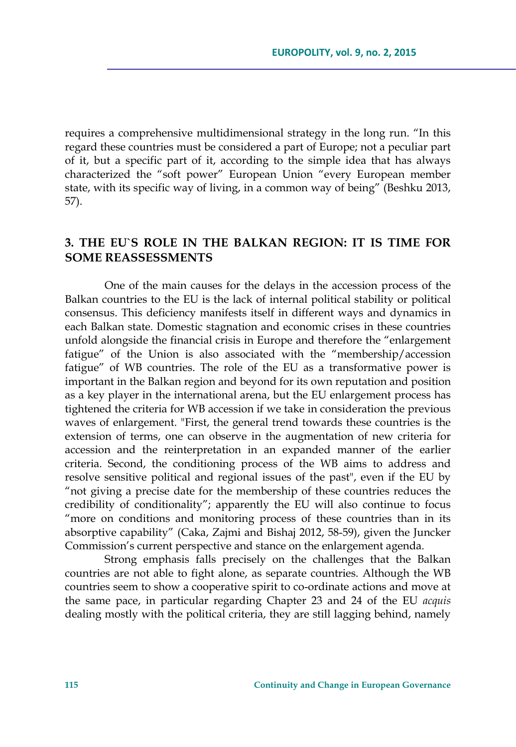requires a comprehensive multidimensional strategy in the long run. "In this regard these countries must be considered a part of Europe; not a peculiar part of it, but a specific part of it, according to the simple idea that has always characterized the "soft power" European Union "every European member state, with its specific way of living, in a common way of being" (Beshku 2013, 57).

# **3. THE EU`S ROLE IN THE BALKAN REGION: IT IS TIME FOR SOME REASSESSMENTS**

One of the main causes for the delays in the accession process of the Balkan countries to the EU is the lack of internal political stability or political consensus. This deficiency manifests itself in different ways and dynamics in each Balkan state. Domestic stagnation and economic crises in these countries unfold alongside the financial crisis in Europe and therefore the "enlargement fatigue" of the Union is also associated with the "membership/accession fatigue" of WB countries. The role of the EU as a transformative power is important in the Balkan region and beyond for its own reputation and position as a key player in the international arena, but the EU enlargement process has tightened the criteria for WB accession if we take in consideration the previous waves of enlargement. "First, the general trend towards these countries is the extension of terms, one can observe in the augmentation of new criteria for accession and the reinterpretation in an expanded manner of the earlier criteria. Second, the conditioning process of the WB aims to address and resolve sensitive political and regional issues of the past", even if the EU by "not giving a precise date for the membership of these countries reduces the credibility of conditionality"; apparently the EU will also continue to focus "more on conditions and monitoring process of these countries than in its absorptive capability" (Caka, Zajmi and Bishaj 2012, 58-59), given the Juncker Commission's current perspective and stance on the enlargement agenda.

Strong emphasis falls precisely on the challenges that the Balkan countries are not able to fight alone, as separate countries. Although the WB countries seem to show a cooperative spirit to co-ordinate actions and move at the same pace, in particular regarding Chapter 23 and 24 of the EU *acquis* dealing mostly with the political criteria, they are still lagging behind, namely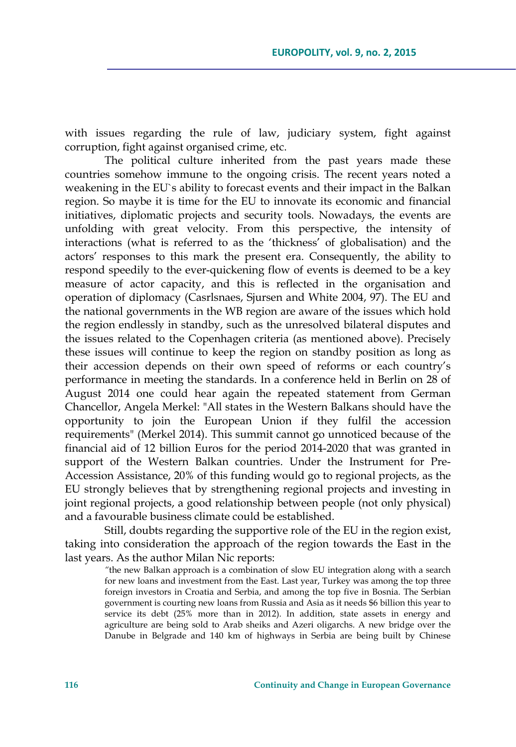with issues regarding the rule of law, judiciary system, fight against corruption, fight against organised crime, etc.

The political culture inherited from the past years made these countries somehow immune to the ongoing crisis. The recent years noted a weakening in the EU`s ability to forecast events and their impact in the Balkan region. So maybe it is time for the EU to innovate its economic and financial initiatives, diplomatic projects and security tools. Nowadays, the events are unfolding with great velocity. From this perspective, the intensity of interactions (what is referred to as the 'thickness' of globalisation) and the actors' responses to this mark the present era. Consequently, the ability to respond speedily to the ever-quickening flow of events is deemed to be a key measure of actor capacity, and this is reflected in the organisation and operation of diplomacy (Casrlsnaes, Sjursen and White 2004, 97). The EU and the national governments in the WB region are aware of the issues which hold the region endlessly in standby, such as the unresolved bilateral disputes and the issues related to the Copenhagen criteria (as mentioned above). Precisely these issues will continue to keep the region on standby position as long as their accession depends on their own speed of reforms or each country's performance in meeting the standards. In a conference held in Berlin on 28 of August 2014 one could hear again the repeated statement from German Chancellor, Angela Merkel: "All states in the Western Balkans should have the opportunity to join the European Union if they fulfil the accession requirements" (Merkel 2014). This summit cannot go unnoticed because of the financial aid of 12 billion Euros for the period 2014-2020 that was granted in support of the Western Balkan countries. Under the Instrument for Pre-Accession Assistance, 20% of this funding would go to regional projects, as the EU strongly believes that by strengthening regional projects and investing in joint regional projects, a good relationship between people (not only physical) and a favourable business climate could be established.

Still, doubts regarding the supportive role of the EU in the region exist, taking into consideration the approach of the region towards the East in the last years. As the author Milan Nic reports:

*"*the new Balkan approach is a combination of slow EU integration along with a search for new loans and investment from the East. Last year, Turkey was among the top three foreign investors in Croatia and Serbia, and among the top five in Bosnia. The Serbian government is courting new loans from Russia and Asia as it needs \$6 billion this year to service its debt (25% more than in 2012). In addition, state assets in energy and agriculture are being sold to Arab sheiks and Azeri oligarchs. A new bridge over the Danube in Belgrade and 140 km of highways in Serbia are being built by Chinese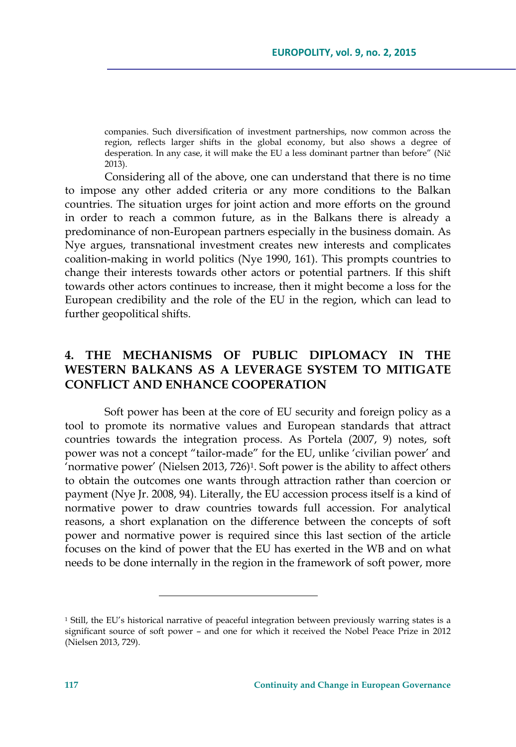companies. Such diversification of investment partnerships, now common across the region, reflects larger shifts in the global economy, but also shows a degree of desperation. In any case, it will make the EU a less dominant partner than before" (Nič 2013).

Considering all of the above, one can understand that there is no time to impose any other added criteria or any more conditions to the Balkan countries. The situation urges for joint action and more efforts on the ground in order to reach a common future, as in the Balkans there is already a predominance of non-European partners especially in the business domain. As Nye argues, transnational investment creates new interests and complicates coalition-making in world politics (Nye 1990, 161). This prompts countries to change their interests towards other actors or potential partners. If this shift towards other actors continues to increase, then it might become a loss for the European credibility and the role of the EU in the region, which can lead to further geopolitical shifts.

## **4. THE MECHANISMS OF PUBLIC DIPLOMACY IN THE WESTERN BALKANS AS A LEVERAGE SYSTEM TO MITIGATE CONFLICT AND ENHANCE COOPERATION**

Soft power has been at the core of EU security and foreign policy as a tool to promote its normative values and European standards that attract countries towards the integration process. As Portela (2007, 9) notes, soft power was not a concept "tailor-made" for the EU, unlike 'civilian power' and 'normative power' (Nielsen 2013, 726)<sup>1</sup>. Soft power is the ability to affect others to obtain the outcomes one wants through attraction rather than coercion or payment (Nye Jr. 2008, 94). Literally, the EU accession process itself is a kind of normative power to draw countries towards full accession. For analytical reasons, a short explanation on the difference between the concepts of soft power and normative power is required since this last section of the article focuses on the kind of power that the EU has exerted in the WB and on what needs to be done internally in the region in the framework of soft power, more

<sup>1</sup> Still, the EU's historical narrative of peaceful integration between previously warring states is a significant source of soft power – and one for which it received the Nobel Peace Prize in 2012 (Nielsen 2013, 729).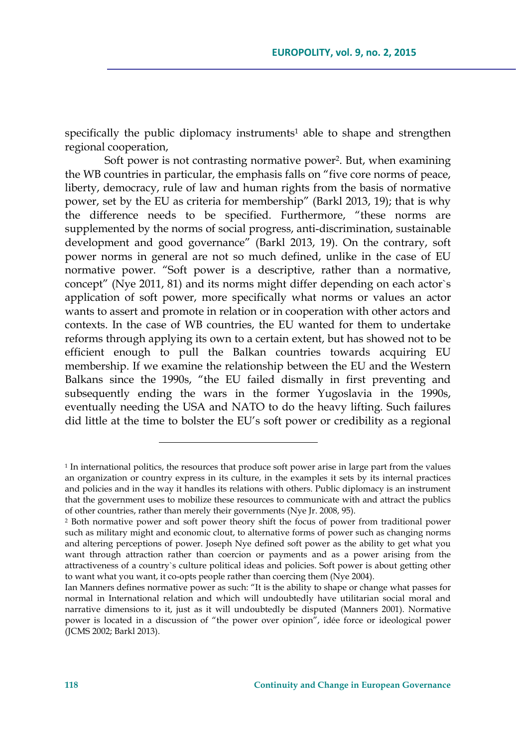specifically the public diplomacy instruments<sup>1</sup> able to shape and strengthen regional cooperation,

Soft power is not contrasting normative power2. But, when examining the WB countries in particular, the emphasis falls on "five core norms of peace, liberty, democracy, rule of law and human rights from the basis of normative power, set by the EU as criteria for membership" (Barkl 2013, 19); that is why the difference needs to be specified. Furthermore, "these norms are supplemented by the norms of social progress, anti-discrimination, sustainable development and good governance" (Barkl 2013, 19). On the contrary, soft power norms in general are not so much defined, unlike in the case of EU normative power. "Soft power is a descriptive, rather than a normative, concept" (Nye 2011, 81) and its norms might differ depending on each actor`s application of soft power, more specifically what norms or values an actor wants to assert and promote in relation or in cooperation with other actors and contexts. In the case of WB countries, the EU wanted for them to undertake reforms through applying its own to a certain extent, but has showed not to be efficient enough to pull the Balkan countries towards acquiring EU membership. If we examine the relationship between the EU and the Western Balkans since the 1990s, "the EU failed dismally in first preventing and subsequently ending the wars in the former Yugoslavia in the 1990s, eventually needing the USA and NATO to do the heavy lifting. Such failures did little at the time to bolster the EU's soft power or credibility as a regional

 $1$  In international politics, the resources that produce soft power arise in large part from the values an organization or country express in its culture, in the examples it sets by its internal practices and policies and in the way it handles its relations with others. Public diplomacy is an instrument that the government uses to mobilize these resources to communicate with and attract the publics of other countries, rather than merely their governments (Nye Jr. 2008, 95).

<sup>2</sup> Both normative power and soft power theory shift the focus of power from traditional power such as military might and economic clout, to alternative forms of power such as changing norms and altering perceptions of power. Joseph Nye defined soft power as the ability to get what you want through attraction rather than coercion or payments and as a power arising from the attractiveness of a country`s culture political ideas and policies. Soft power is about getting other to want what you want, it co-opts people rather than coercing them (Nye 2004).

Ian Manners defines normative power as such: "It is the ability to shape or change what passes for normal in International relation and which will undoubtedly have utilitarian social moral and narrative dimensions to it, just as it will undoubtedly be disputed (Manners 2001). Normative power is located in a discussion of "the power over opinion", idée force or ideological power (JCMS 2002; Barkl 2013).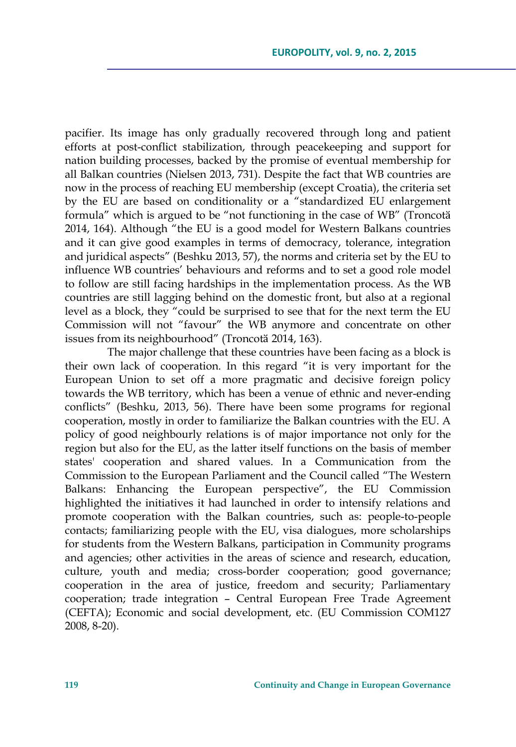pacifier. Its image has only gradually recovered through long and patient efforts at post-conflict stabilization, through peacekeeping and support for nation building processes, backed by the promise of eventual membership for all Balkan countries (Nielsen 2013, 731). Despite the fact that WB countries are now in the process of reaching EU membership (except Croatia), the criteria set by the EU are based on conditionality or a "standardized EU enlargement formula" which is argued to be "not functioning in the case of WB" (Troncotă 2014, 164). Although "the EU is a good model for Western Balkans countries and it can give good examples in terms of democracy, tolerance, integration and juridical aspects" (Beshku 2013, 57), the norms and criteria set by the EU to influence WB countries' behaviours and reforms and to set a good role model to follow are still facing hardships in the implementation process. As the WB countries are still lagging behind on the domestic front, but also at a regional level as a block, they "could be surprised to see that for the next term the EU Commission will not "favour" the WB anymore and concentrate on other issues from its neighbourhood" (Troncotӑ 2014, 163).

 The major challenge that these countries have been facing as a block is their own lack of cooperation. In this regard "it is very important for the European Union to set off a more pragmatic and decisive foreign policy towards the WB territory, which has been a venue of ethnic and never-ending conflicts" (Beshku, 2013, 56). There have been some programs for regional cooperation, mostly in order to familiarize the Balkan countries with the EU. A policy of good neighbourly relations is of major importance not only for the region but also for the EU, as the latter itself functions on the basis of member states' cooperation and shared values. In a Communication from the Commission to the European Parliament and the Council called "The Western Balkans: Enhancing the European perspective", the EU Commission highlighted the initiatives it had launched in order to intensify relations and promote cooperation with the Balkan countries, such as: people-to-people contacts; familiarizing people with the EU, visa dialogues, more scholarships for students from the Western Balkans, participation in Community programs and agencies; other activities in the areas of science and research, education, culture, youth and media; cross-border cooperation; good governance; cooperation in the area of justice, freedom and security; Parliamentary cooperation; trade integration – Central European Free Trade Agreement (CEFTA); Economic and social development, etc. (EU Commission COM127 2008, 8-20).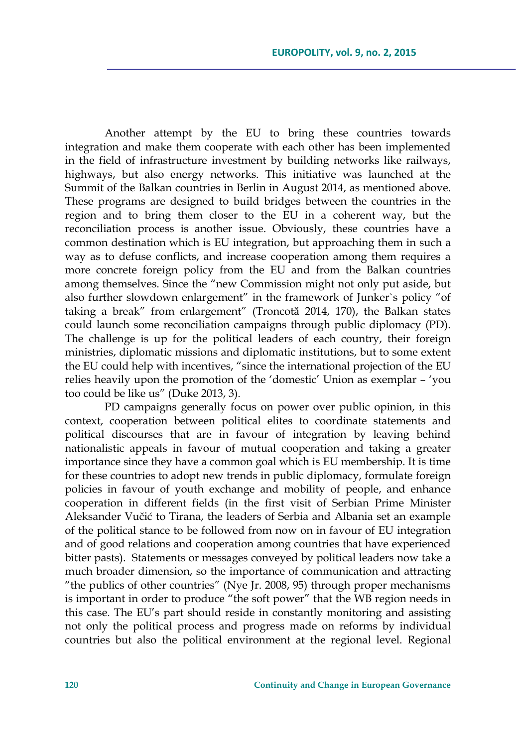Another attempt by the EU to bring these countries towards integration and make them cooperate with each other has been implemented in the field of infrastructure investment by building networks like railways, highways, but also energy networks. This initiative was launched at the Summit of the Balkan countries in Berlin in August 2014, as mentioned above. These programs are designed to build bridges between the countries in the region and to bring them closer to the EU in a coherent way, but the reconciliation process is another issue. Obviously, these countries have a common destination which is EU integration, but approaching them in such a way as to defuse conflicts, and increase cooperation among them requires a more concrete foreign policy from the EU and from the Balkan countries among themselves. Since the "new Commission might not only put aside, but also further slowdown enlargement" in the framework of Junker`s policy "of taking a break" from enlargement" (Troncotă 2014, 170), the Balkan states could launch some reconciliation campaigns through public diplomacy (PD). The challenge is up for the political leaders of each country, their foreign ministries, diplomatic missions and diplomatic institutions, but to some extent the EU could help with incentives, "since the international projection of the EU relies heavily upon the promotion of the 'domestic' Union as exemplar – 'you too could be like us" (Duke 2013, 3).

PD campaigns generally focus on power over public opinion, in this context, cooperation between political elites to coordinate statements and political discourses that are in favour of integration by leaving behind nationalistic appeals in favour of mutual cooperation and taking a greater importance since they have a common goal which is EU membership. It is time for these countries to adopt new trends in public diplomacy, formulate foreign policies in favour of youth exchange and mobility of people, and enhance cooperation in different fields (in the first visit of Serbian Prime Minister Aleksander Vučić to Tirana, the leaders of Serbia and Albania set an example of the political stance to be followed from now on in favour of EU integration and of good relations and cooperation among countries that have experienced bitter pasts). Statements or messages conveyed by political leaders now take a much broader dimension, so the importance of communication and attracting "the publics of other countries" (Nye Jr. 2008, 95) through proper mechanisms is important in order to produce "the soft power" that the WB region needs in this case. The EU's part should reside in constantly monitoring and assisting not only the political process and progress made on reforms by individual countries but also the political environment at the regional level. Regional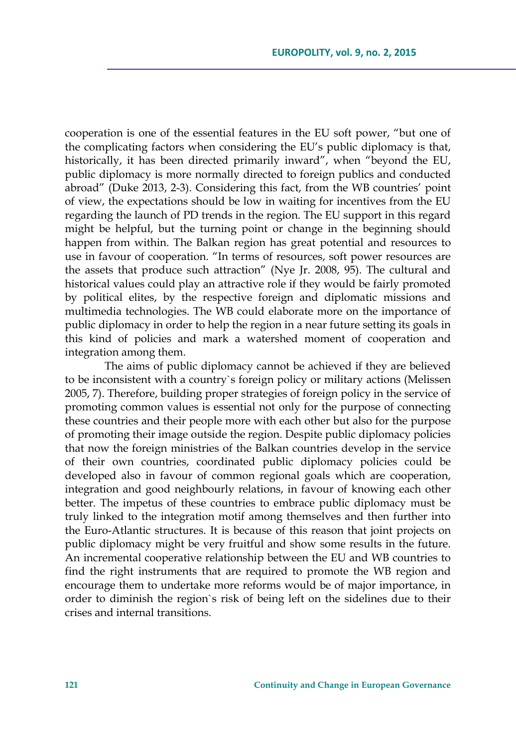cooperation is one of the essential features in the EU soft power, "but one of the complicating factors when considering the EU's public diplomacy is that, historically, it has been directed primarily inward", when "beyond the EU, public diplomacy is more normally directed to foreign publics and conducted abroad" (Duke 2013, 2-3). Considering this fact, from the WB countries' point of view, the expectations should be low in waiting for incentives from the EU regarding the launch of PD trends in the region. The EU support in this regard might be helpful, but the turning point or change in the beginning should happen from within. The Balkan region has great potential and resources to use in favour of cooperation. "In terms of resources, soft power resources are the assets that produce such attraction" (Nye Jr. 2008, 95). The cultural and historical values could play an attractive role if they would be fairly promoted by political elites, by the respective foreign and diplomatic missions and multimedia technologies. The WB could elaborate more on the importance of public diplomacy in order to help the region in a near future setting its goals in this kind of policies and mark a watershed moment of cooperation and integration among them.

The aims of public diplomacy cannot be achieved if they are believed to be inconsistent with a country`s foreign policy or military actions (Melissen 2005, 7). Therefore, building proper strategies of foreign policy in the service of promoting common values is essential not only for the purpose of connecting these countries and their people more with each other but also for the purpose of promoting their image outside the region. Despite public diplomacy policies that now the foreign ministries of the Balkan countries develop in the service of their own countries, coordinated public diplomacy policies could be developed also in favour of common regional goals which are cooperation, integration and good neighbourly relations, in favour of knowing each other better. The impetus of these countries to embrace public diplomacy must be truly linked to the integration motif among themselves and then further into the Euro-Atlantic structures. It is because of this reason that joint projects on public diplomacy might be very fruitful and show some results in the future. An incremental cooperative relationship between the EU and WB countries to find the right instruments that are required to promote the WB region and encourage them to undertake more reforms would be of major importance, in order to diminish the region`s risk of being left on the sidelines due to their crises and internal transitions.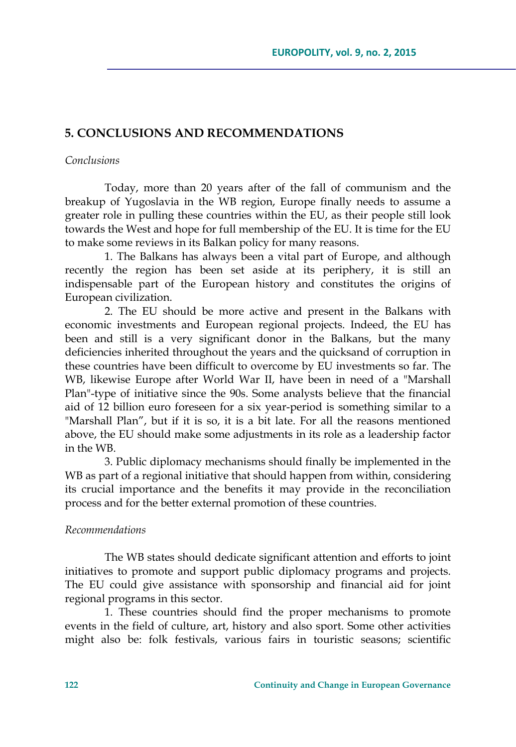## **5. CONCLUSIONS AND RECOMMENDATIONS**

#### *Conclusions*

Today, more than 20 years after of the fall of communism and the breakup of Yugoslavia in the WB region, Europe finally needs to assume a greater role in pulling these countries within the EU, as their people still look towards the West and hope for full membership of the EU. It is time for the EU to make some reviews in its Balkan policy for many reasons.

1. The Balkans has always been a vital part of Europe, and although recently the region has been set aside at its periphery, it is still an indispensable part of the European history and constitutes the origins of European civilization.

2. The EU should be more active and present in the Balkans with economic investments and European regional projects. Indeed, the EU has been and still is a very significant donor in the Balkans, but the many deficiencies inherited throughout the years and the quicksand of corruption in these countries have been difficult to overcome by EU investments so far. The WB, likewise Europe after World War II, have been in need of a "Marshall Plan"-type of initiative since the 90s. Some analysts believe that the financial aid of 12 billion euro foreseen for a six year-period is something similar to a "Marshall Plan", but if it is so, it is a bit late. For all the reasons mentioned above, the EU should make some adjustments in its role as a leadership factor in the WB.

3. Public diplomacy mechanisms should finally be implemented in the WB as part of a regional initiative that should happen from within, considering its crucial importance and the benefits it may provide in the reconciliation process and for the better external promotion of these countries.

### *Recommendations*

The WB states should dedicate significant attention and efforts to joint initiatives to promote and support public diplomacy programs and projects. The EU could give assistance with sponsorship and financial aid for joint regional programs in this sector.

1. These countries should find the proper mechanisms to promote events in the field of culture, art, history and also sport. Some other activities might also be: folk festivals, various fairs in touristic seasons; scientific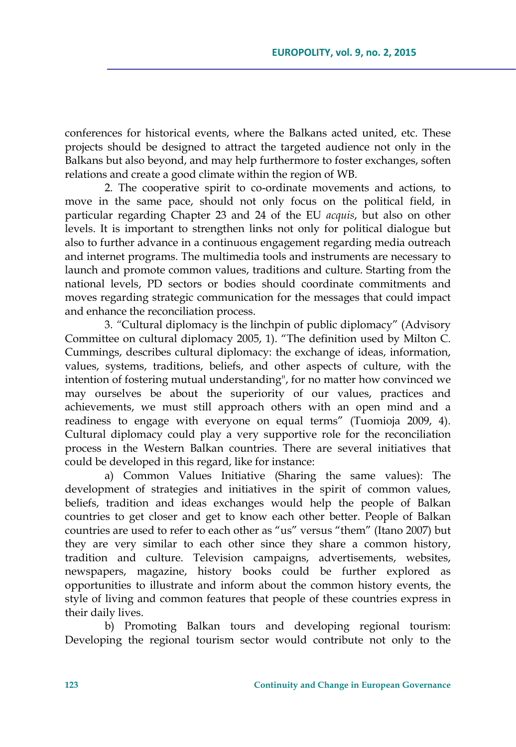conferences for historical events, where the Balkans acted united, etc. These projects should be designed to attract the targeted audience not only in the Balkans but also beyond, and may help furthermore to foster exchanges, soften relations and create a good climate within the region of WB.

2. The cooperative spirit to co-ordinate movements and actions, to move in the same pace, should not only focus on the political field, in particular regarding Chapter 23 and 24 of the EU *acquis*, but also on other levels. It is important to strengthen links not only for political dialogue but also to further advance in a continuous engagement regarding media outreach and internet programs. The multimedia tools and instruments are necessary to launch and promote common values, traditions and culture. Starting from the national levels, PD sectors or bodies should coordinate commitments and moves regarding strategic communication for the messages that could impact and enhance the reconciliation process.

3. *"*Cultural diplomacy is the linchpin of public diplomacy" (Advisory Committee on cultural diplomacy 2005, 1). "The definition used by Milton C. Cummings, describes cultural diplomacy: the exchange of ideas, information, values, systems, traditions, beliefs, and other aspects of culture, with the intention of fostering mutual understanding", for no matter how convinced we may ourselves be about the superiority of our values, practices and achievements, we must still approach others with an open mind and a readiness to engage with everyone on equal terms" (Tuomioja 2009, 4). Cultural diplomacy could play a very supportive role for the reconciliation process in the Western Balkan countries. There are several initiatives that could be developed in this regard, like for instance:

a) Common Values Initiative (Sharing the same values): The development of strategies and initiatives in the spirit of common values, beliefs, tradition and ideas exchanges would help the people of Balkan countries to get closer and get to know each other better. People of Balkan countries are used to refer to each other as "us" versus "them" (Itano 2007) but they are very similar to each other since they share a common history, tradition and culture. Television campaigns, advertisements, websites, newspapers, magazine, history books could be further explored as opportunities to illustrate and inform about the common history events, the style of living and common features that people of these countries express in their daily lives.

b) Promoting Balkan tours and developing regional tourism: Developing the regional tourism sector would contribute not only to the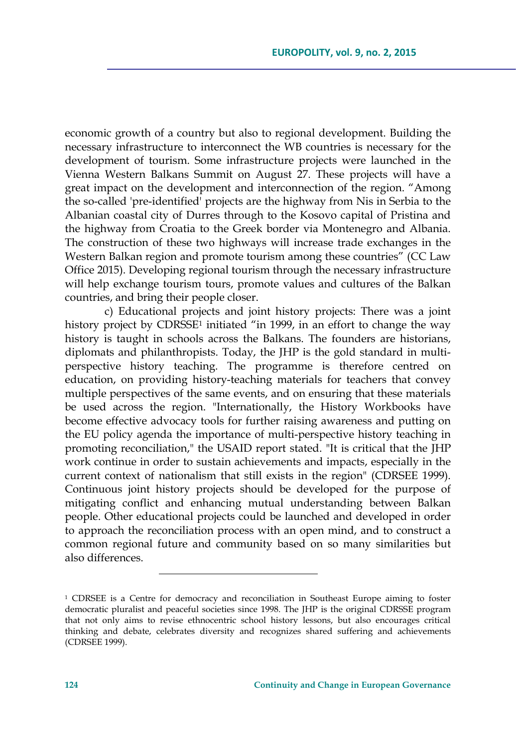economic growth of a country but also to regional development. Building the necessary infrastructure to interconnect the WB countries is necessary for the development of tourism. Some infrastructure projects were launched in the Vienna Western Balkans Summit on August 27. These projects will have a great impact on the development and interconnection of the region. "Among the so-called 'pre-identified' projects are the highway from Nis in Serbia to the Albanian coastal city of Durres through to the Kosovo capital of Pristina and the highway from Croatia to the Greek border via Montenegro and Albania. The construction of these two highways will increase trade exchanges in the Western Balkan region and promote tourism among these countries" (CC Law Office 2015). Developing regional tourism through the necessary infrastructure will help exchange tourism tours, promote values and cultures of the Balkan countries, and bring their people closer.

c) Educational projects and joint history projects: There was a joint history project by CDRSSE<sup>1</sup> initiated "in 1999, in an effort to change the way history is taught in schools across the Balkans. The founders are historians, diplomats and philanthropists. Today, the JHP is the gold standard in multiperspective history teaching. The programme is therefore centred on education, on providing history-teaching materials for teachers that convey multiple perspectives of the same events, and on ensuring that these materials be used across the region. "Internationally, the History Workbooks have become effective advocacy tools for further raising awareness and putting on the EU policy agenda the importance of multi-perspective history teaching in promoting reconciliation," the USAID report stated. "It is critical that the JHP work continue in order to sustain achievements and impacts, especially in the current context of nationalism that still exists in the region" (CDRSEE 1999). Continuous joint history projects should be developed for the purpose of mitigating conflict and enhancing mutual understanding between Balkan people. Other educational projects could be launched and developed in order to approach the reconciliation process with an open mind, and to construct a common regional future and community based on so many similarities but also differences.

<sup>1</sup> CDRSEE is a Centre for democracy and reconciliation in Southeast Europe aiming to foster democratic pluralist and peaceful societies since 1998. The JHP is the original CDRSSE program that not only aims to revise ethnocentric school history lessons, but also encourages critical thinking and debate, celebrates diversity and recognizes shared suffering and achievements (CDRSEE 1999).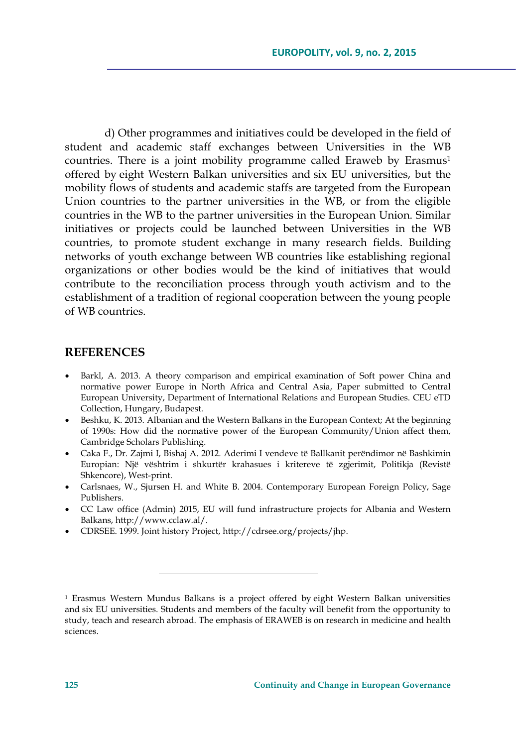d) Other programmes and initiatives could be developed in the field of student and academic staff exchanges between Universities in the WB countries. There is a joint mobility programme called Eraweb by Erasmus<sup>1</sup> offered by eight Western Balkan universities and six EU universities, but the mobility flows of students and academic staffs are targeted from the European Union countries to the partner universities in the WB, or from the eligible countries in the WB to the partner universities in the European Union. Similar initiatives or projects could be launched between Universities in the WB countries, to promote student exchange in many research fields. Building networks of youth exchange between WB countries like establishing regional organizations or other bodies would be the kind of initiatives that would contribute to the reconciliation process through youth activism and to the establishment of a tradition of regional cooperation between the young people of WB countries.

## **REFERENCES**

- Barkl, A. 2013. A theory comparison and empirical examination of Soft power China and normative power Europe in North Africa and Central Asia, Paper submitted to Central European University, Department of International Relations and European Studies. CEU eTD Collection, Hungary, Budapest.
- Beshku, K. 2013. Albanian and the Western Balkans in the European Context; At the beginning of 1990s: How did the normative power of the European Community/Union affect them, Cambridge Scholars Publishing.
- Caka F., Dr. Zajmi I, Bishaj A. 2012. Aderimi I vendeve të Ballkanit perëndimor në Bashkimin Europian: Një vështrim i shkurtër krahasues i kritereve të zgjerimit, Politikja (Revistë Shkencore), West-print.
- Carlsnaes, W., Sjursen H. and White B. 2004. Contemporary European Foreign Policy, Sage Publishers.
- CC Law office (Admin) 2015, EU will fund infrastructure projects for Albania and Western Balkans, http://www.cclaw.al/.
- CDRSEE. 1999. Joint history Project, http://cdrsee.org/projects/jhp.

<sup>1</sup> Erasmus Western Mundus Balkans is a project offered by eight Western Balkan universities and six EU universities. Students and members of the faculty will benefit from the opportunity to study, teach and research abroad. The emphasis of ERAWEB is on research in medicine and health sciences.